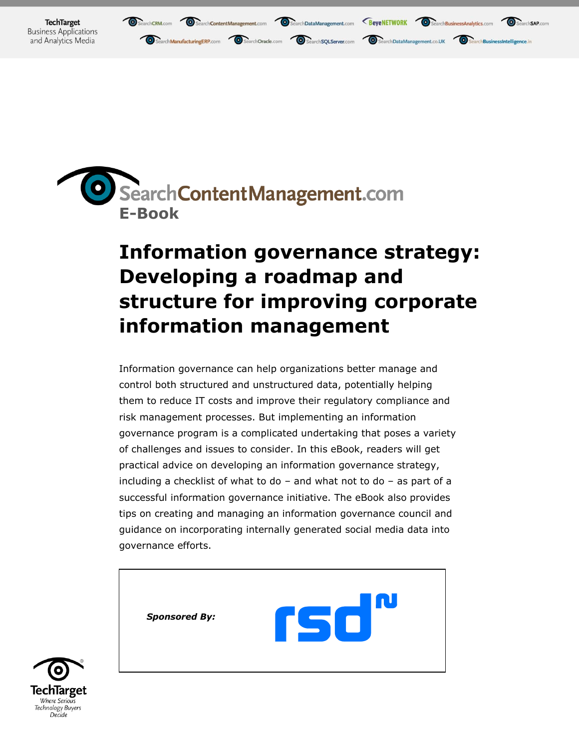



## **Information governance strategy: Developing a roadmap and structure for improving corporate information management**

Information governance can help organizations better manage and control both structured and unstructured data, potentially helping them to reduce IT costs and improve their regulatory compliance and risk management processes. But implementing an information governance program is a complicated undertaking that poses a variety of challenges and issues to consider. In this eBook, readers will get practical advice on developing an information governance strategy, including a checklist of what to do – and what not to do – as part of a successful information governance initiative. The eBook also provides tips on creating and managing an information governance council and guidance on incorporating internally generated social media data into governance efforts.



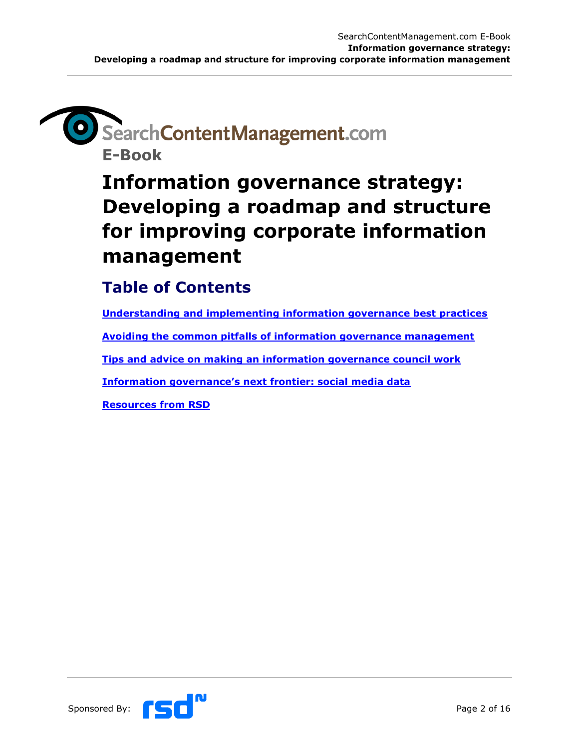## SearchContentManagement.com **E-Book**

**Information governance strategy: Developing a roadmap and structure for improving corporate information management**

#### **Table of Contents**

**[Understanding and implementing information governance best practices](#page-2-0)**

**Avoiding the [common pitfalls of information governance management](#page-6-0)**

**[Tips and advice on making an information governance council work](#page-9-0)**

**[Information governance's next frontier: social media data](#page-12-0)**

**[Resources from RSD](#page-15-0)**

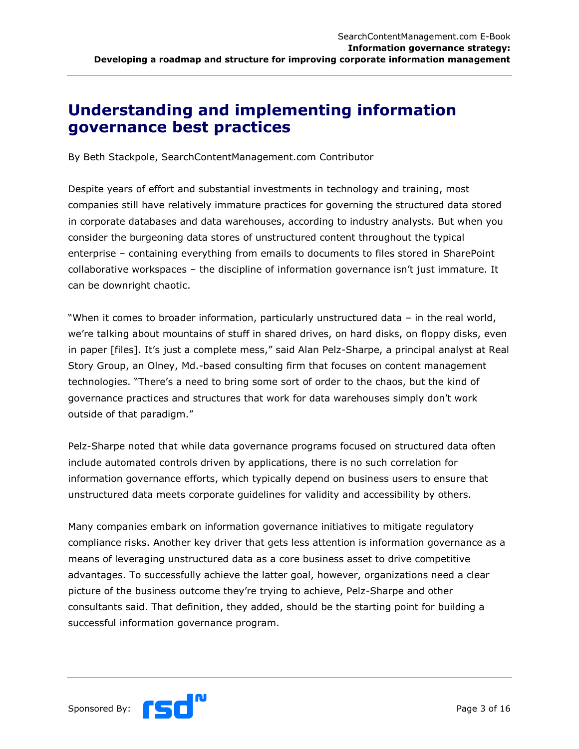#### <span id="page-2-0"></span>**Understanding and implementing information governance best practices**

By Beth Stackpole, SearchContentManagement.com Contributor

Despite years of effort and substantial investments in technology and training, most companies still have relatively immature practices for governing the structured data stored in corporate databases and data warehouses, according to industry analysts. But when you consider the burgeoning data stores of unstructured content throughout the typical enterprise – containing everything from emails to documents to files stored in SharePoint collaborative workspaces – the discipline of information governance isn"t just immature. It can be downright chaotic.

"When it comes to broader information, particularly unstructured data – in the real world, we"re talking about mountains of stuff in shared drives, on hard disks, on floppy disks, even in paper [files]. It"s just a complete mess," said Alan Pelz-Sharpe, a principal analyst at Real Story Group, an Olney, Md.-based consulting firm that focuses on content management technologies. "There"s a need to bring some sort of order to the chaos, but the kind of governance practices and structures that work for data warehouses simply don"t work outside of that paradigm."

Pelz-Sharpe noted that while data governance programs focused on structured data often include automated controls driven by applications, there is no such correlation for information governance efforts, which typically depend on business users to ensure that unstructured data meets corporate guidelines for validity and accessibility by others.

Many companies embark on information governance initiatives to mitigate regulatory compliance risks. Another key driver that gets less attention is information governance as a means of leveraging unstructured data as a core business asset to drive competitive advantages. To successfully achieve the latter goal, however, organizations need a clear picture of the business outcome they"re trying to achieve, Pelz-Sharpe and other consultants said. That definition, they added, should be the starting point for building a successful information governance program.

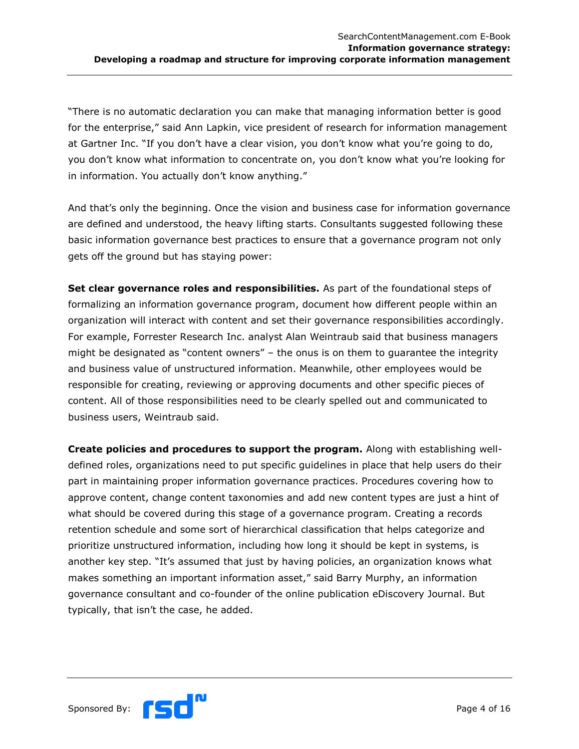"There is no automatic declaration you can make that managing information better is good for the enterprise," said Ann Lapkin, vice president of research for information management at Gartner Inc. "If you don"t have a clear vision, you don"t know what you"re going to do, you don"t know what information to concentrate on, you don"t know what you"re looking for in information. You actually don't know anything."

And that's only the beginning. Once the vision and business case for information governance are defined and understood, the heavy lifting starts. Consultants suggested following these basic information governance best practices to ensure that a governance program not only gets off the ground but has staying power:

**Set clear governance roles and responsibilities.** As part of the foundational steps of formalizing an information governance program, document how different people within an organization will interact with content and set their governance responsibilities accordingly. For example, Forrester Research Inc. analyst Alan Weintraub said that business managers might be designated as "content owners" – the onus is on them to guarantee the integrity and business value of unstructured information. Meanwhile, other employees would be responsible for creating, reviewing or approving documents and other specific pieces of content. All of those responsibilities need to be clearly spelled out and communicated to business users, Weintraub said.

**Create policies and procedures to support the program.** Along with establishing welldefined roles, organizations need to put specific guidelines in place that help users do their part in maintaining proper information governance practices. Procedures covering how to approve content, change content taxonomies and add new content types are just a hint of what should be covered during this stage of a governance program. Creating a records retention schedule and some sort of hierarchical classification that helps categorize and prioritize unstructured information, including how long it should be kept in systems, is another key step. "It's assumed that just by having policies, an organization knows what makes something an important information asset," said Barry Murphy, an information governance consultant and co-founder of the online publication eDiscovery Journal. But typically, that isn"t the case, he added.

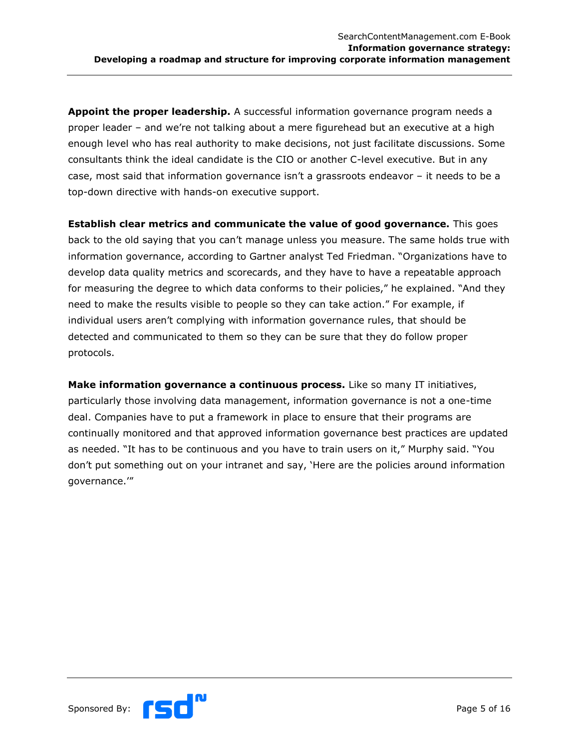**Appoint the proper leadership.** A successful information governance program needs a proper leader – and we"re not talking about a mere figurehead but an executive at a high enough level who has real authority to make decisions, not just facilitate discussions. Some consultants think the ideal candidate is the CIO or another C-level executive. But in any case, most said that information governance isn"t a grassroots endeavor – it needs to be a top-down directive with hands-on executive support.

**Establish clear metrics and communicate the value of good governance.** This goes back to the old saying that you can"t manage unless you measure. The same holds true with information governance, according to Gartner analyst Ted Friedman. "Organizations have to develop data quality metrics and scorecards, and they have to have a repeatable approach for measuring the degree to which data conforms to their policies," he explained. "And they need to make the results visible to people so they can take action." For example, if individual users aren"t complying with information governance rules, that should be detected and communicated to them so they can be sure that they do follow proper protocols.

**Make information governance a continuous process.** Like so many IT initiatives, particularly those involving data management, information governance is not a one-time deal. Companies have to put a framework in place to ensure that their programs are continually monitored and that approved information governance best practices are updated as needed. "It has to be continuous and you have to train users on it," Murphy said. "You don"t put something out on your intranet and say, "Here are the policies around information governance.""

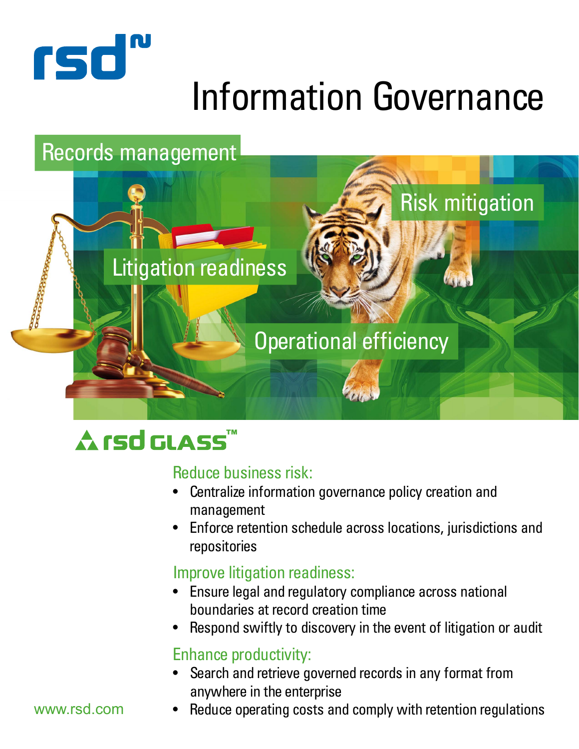

# Information Governance

## Records management



## **Arsd GLASS™**

#### Reduce business risk:

- Centralize information governance policy creation and management
- Enforce retention schedule across locations, jurisdictions and repositories

### Improve litigation readiness:

- Ensure legal and regulatory compliance across national boundaries at record creation time
- Respond swiftly to discovery in the event of litigation or audit

#### Enhance productivity:

- Search and retrieve governed records in any format from anywhere in the enterprise
- www.rsd.com
- Reduce operating costs and comply with retention regulations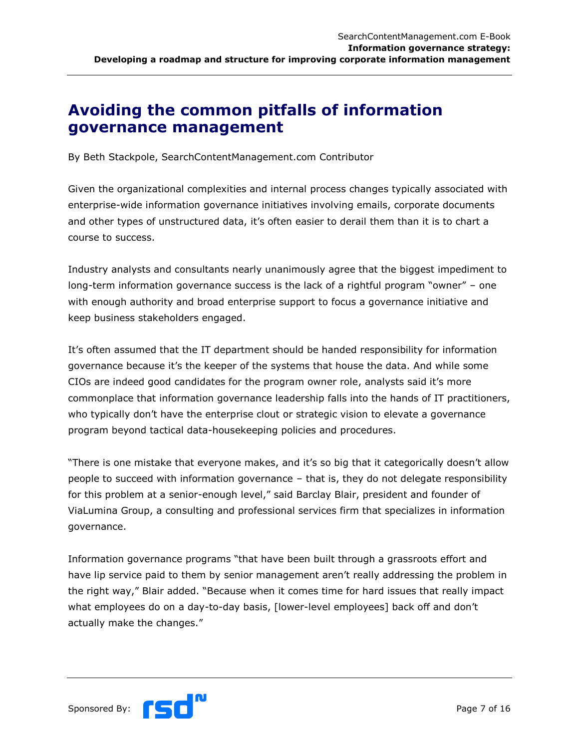#### <span id="page-6-0"></span>**Avoiding the common pitfalls of information governance management**

By Beth Stackpole, SearchContentManagement.com Contributor

Given the organizational complexities and internal process changes typically associated with enterprise-wide information governance initiatives involving emails, corporate documents and other types of unstructured data, it's often easier to derail them than it is to chart a course to success.

Industry analysts and consultants nearly unanimously agree that the biggest impediment to long-term information governance success is the lack of a rightful program "owner" – one with enough authority and broad enterprise support to focus a governance initiative and keep business stakeholders engaged.

It's often assumed that the IT department should be handed responsibility for information governance because it"s the keeper of the systems that house the data. And while some CIOs are indeed good candidates for the program owner role, analysts said it"s more commonplace that information governance leadership falls into the hands of IT practitioners, who typically don"t have the enterprise clout or strategic vision to elevate a governance program beyond tactical data-housekeeping policies and procedures.

"There is one mistake that everyone makes, and it's so big that it categorically doesn't allow people to succeed with information governance – that is, they do not delegate responsibility for this problem at a senior-enough level," said Barclay Blair, president and founder of ViaLumina Group, a consulting and professional services firm that specializes in information governance.

Information governance programs "that have been built through a grassroots effort and have lip service paid to them by senior management aren't really addressing the problem in the right way," Blair added. "Because when it comes time for hard issues that really impact what employees do on a day-to-day basis, [lower-level employees] back off and don"t actually make the changes."

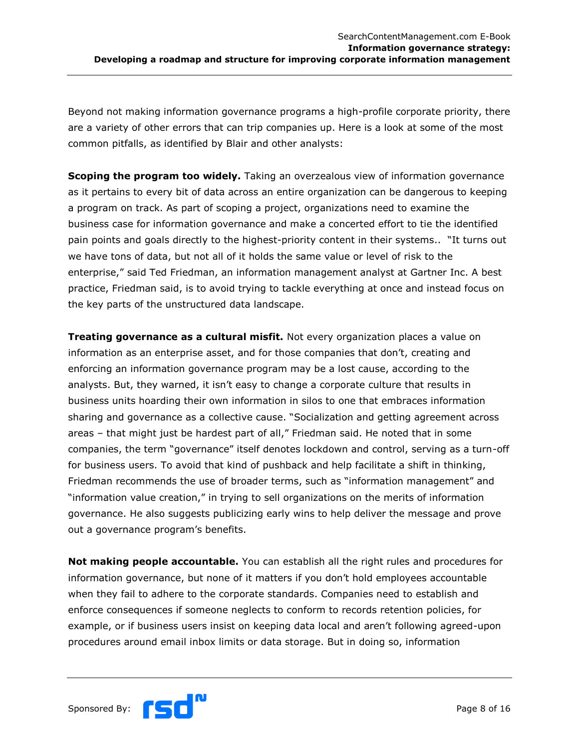Beyond not making information governance programs a high-profile corporate priority, there are a variety of other errors that can trip companies up. Here is a look at some of the most common pitfalls, as identified by Blair and other analysts:

**Scoping the program too widely.** Taking an overzealous view of information governance as it pertains to every bit of data across an entire organization can be dangerous to keeping a program on track. As part of scoping a project, organizations need to examine the business case for information governance and make a concerted effort to tie the identified pain points and goals directly to the highest-priority content in their systems.. "It turns out we have tons of data, but not all of it holds the same value or level of risk to the enterprise," said Ted Friedman, an information management analyst at Gartner Inc. A best practice, Friedman said, is to avoid trying to tackle everything at once and instead focus on the key parts of the unstructured data landscape.

**Treating governance as a cultural misfit.** Not every organization places a value on information as an enterprise asset, and for those companies that don't, creating and enforcing an information governance program may be a lost cause, according to the analysts. But, they warned, it isn't easy to change a corporate culture that results in business units hoarding their own information in silos to one that embraces information sharing and governance as a collective cause. "Socialization and getting agreement across areas – that might just be hardest part of all," Friedman said. He noted that in some companies, the term "governance" itself denotes lockdown and control, serving as a turn-off for business users. To avoid that kind of pushback and help facilitate a shift in thinking, Friedman recommends the use of broader terms, such as "information management" and "information value creation," in trying to sell organizations on the merits of information governance. He also suggests publicizing early wins to help deliver the message and prove out a governance program's benefits.

**Not making people accountable.** You can establish all the right rules and procedures for information governance, but none of it matters if you don"t hold employees accountable when they fail to adhere to the corporate standards. Companies need to establish and enforce consequences if someone neglects to conform to records retention policies, for example, or if business users insist on keeping data local and aren"t following agreed-upon procedures around email inbox limits or data storage. But in doing so, information

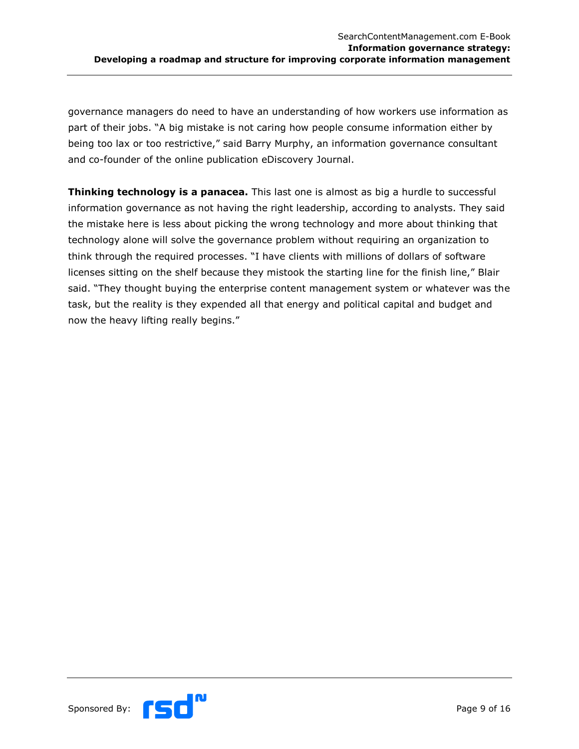governance managers do need to have an understanding of how workers use information as part of their jobs. "A big mistake is not caring how people consume information either by being too lax or too restrictive," said Barry Murphy, an information governance consultant and co-founder of the online publication eDiscovery Journal.

**Thinking technology is a panacea.** This last one is almost as big a hurdle to successful information governance as not having the right leadership, according to analysts. They said the mistake here is less about picking the wrong technology and more about thinking that technology alone will solve the governance problem without requiring an organization to think through the required processes. "I have clients with millions of dollars of software licenses sitting on the shelf because they mistook the starting line for the finish line," Blair said. "They thought buying the enterprise content management system or whatever was the task, but the reality is they expended all that energy and political capital and budget and now the heavy lifting really begins."



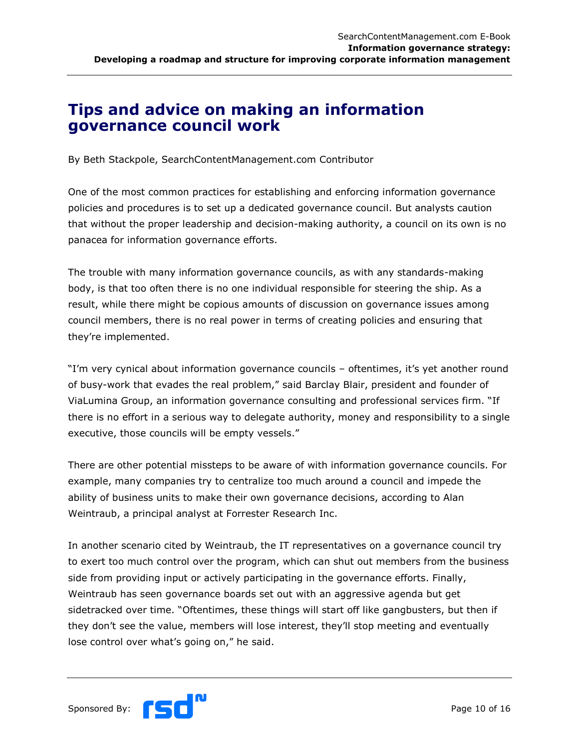#### <span id="page-9-0"></span>**Tips and advice on making an information governance council work**

By Beth Stackpole, SearchContentManagement.com Contributor

One of the most common practices for establishing and enforcing information governance policies and procedures is to set up a dedicated governance council. But analysts caution that without the proper leadership and decision-making authority, a council on its own is no panacea for information governance efforts.

The trouble with many information governance councils, as with any standards-making body, is that too often there is no one individual responsible for steering the ship. As a result, while there might be copious amounts of discussion on governance issues among council members, there is no real power in terms of creating policies and ensuring that they"re implemented.

"I'm very cynical about information governance councils - oftentimes, it's yet another round of busy-work that evades the real problem," said Barclay Blair, president and founder of ViaLumina Group, an information governance consulting and professional services firm. "If there is no effort in a serious way to delegate authority, money and responsibility to a single executive, those councils will be empty vessels."

There are other potential missteps to be aware of with information governance councils. For example, many companies try to centralize too much around a council and impede the ability of business units to make their own governance decisions, according to Alan Weintraub, a principal analyst at Forrester Research Inc.

In another scenario cited by Weintraub, the IT representatives on a governance council try to exert too much control over the program, which can shut out members from the business side from providing input or actively participating in the governance efforts. Finally, Weintraub has seen governance boards set out with an aggressive agenda but get sidetracked over time. "Oftentimes, these things will start off like gangbusters, but then if they don"t see the value, members will lose interest, they"ll stop meeting and eventually lose control over what's going on," he said.

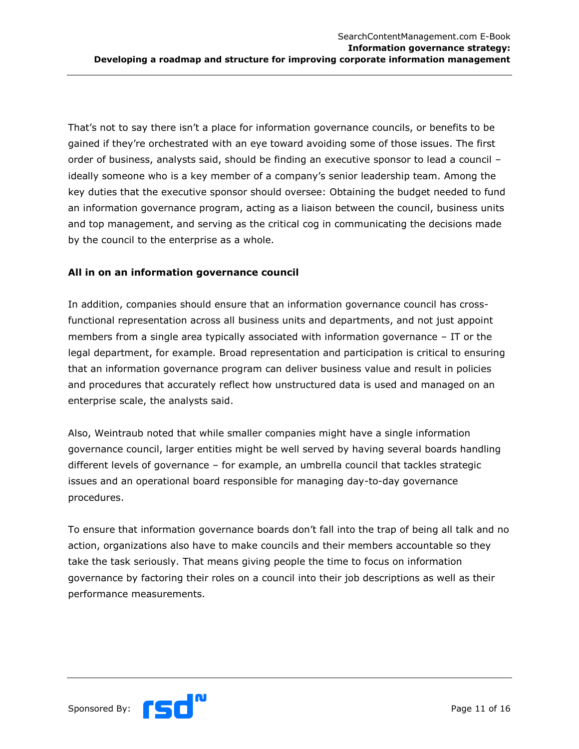That's not to say there isn't a place for information governance councils, or benefits to be gained if they"re orchestrated with an eye toward avoiding some of those issues. The first order of business, analysts said, should be finding an executive sponsor to lead a council – ideally someone who is a key member of a company's senior leadership team. Among the key duties that the executive sponsor should oversee: Obtaining the budget needed to fund an information governance program, acting as a liaison between the council, business units and top management, and serving as the critical cog in communicating the decisions made by the council to the enterprise as a whole.

#### **All in on an information governance council**

In addition, companies should ensure that an information governance council has crossfunctional representation across all business units and departments, and not just appoint members from a single area typically associated with information governance – IT or the legal department, for example. Broad representation and participation is critical to ensuring that an information governance program can deliver business value and result in policies and procedures that accurately reflect how unstructured data is used and managed on an enterprise scale, the analysts said.

Also, Weintraub noted that while smaller companies might have a single information governance council, larger entities might be well served by having several boards handling different levels of governance – for example, an umbrella council that tackles strategic issues and an operational board responsible for managing day-to-day governance procedures.

To ensure that information governance boards don"t fall into the trap of being all talk and no action, organizations also have to make councils and their members accountable so they take the task seriously. That means giving people the time to focus on information governance by factoring their roles on a council into their job descriptions as well as their performance measurements.

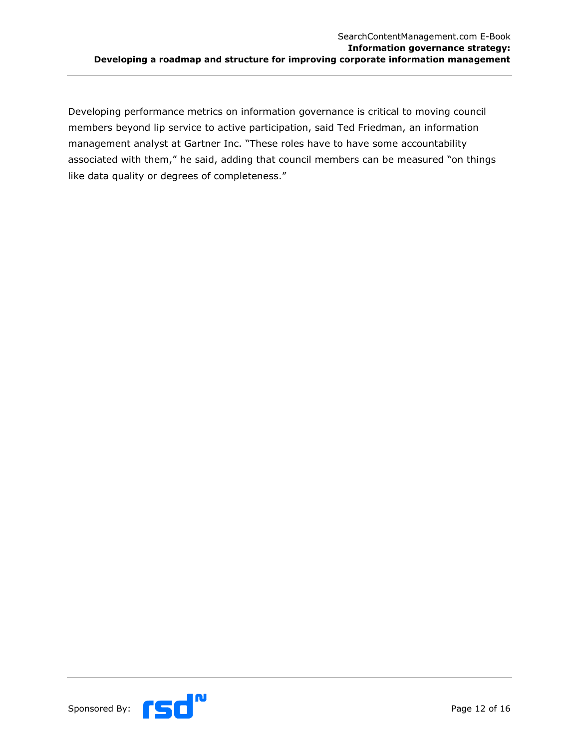Developing performance metrics on information governance is critical to moving council members beyond lip service to active participation, said Ted Friedman, an information management analyst at Gartner Inc. "These roles have to have some accountability associated with them," he said, adding that council members can be measured "on things like data quality or degrees of completeness."

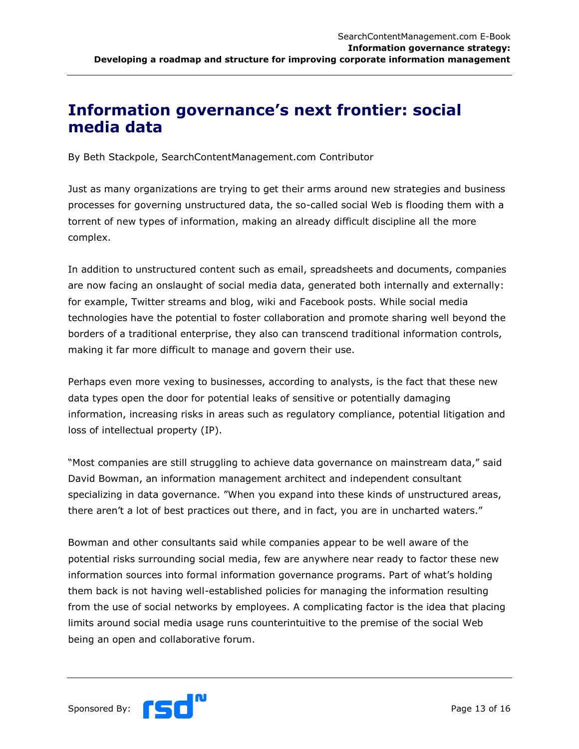#### <span id="page-12-0"></span>**Information governance's next frontier: social media data**

By Beth Stackpole, SearchContentManagement.com Contributor

Just as many organizations are trying to get their arms around new strategies and business processes for governing unstructured data, the so-called social Web is flooding them with a torrent of new types of information, making an already difficult discipline all the more complex.

In addition to unstructured content such as email, spreadsheets and documents, companies are now facing an onslaught of social media data, generated both internally and externally: for example, Twitter streams and blog, wiki and Facebook posts. While social media technologies have the potential to foster collaboration and promote sharing well beyond the borders of a traditional enterprise, they also can transcend traditional information controls, making it far more difficult to manage and govern their use.

Perhaps even more vexing to businesses, according to analysts, is the fact that these new data types open the door for potential leaks of sensitive or potentially damaging information, increasing risks in areas such as regulatory compliance, potential litigation and loss of intellectual property (IP).

"Most companies are still struggling to achieve data governance on mainstream data," said David Bowman, an information management architect and independent consultant specializing in data governance. "When you expand into these kinds of unstructured areas, there aren't a lot of best practices out there, and in fact, you are in uncharted waters."

Bowman and other consultants said while companies appear to be well aware of the potential risks surrounding social media, few are anywhere near ready to factor these new information sources into formal information governance programs. Part of what"s holding them back is not having well-established policies for managing the information resulting from the use of social networks by employees. A complicating factor is the idea that placing limits around social media usage runs counterintuitive to the premise of the social Web being an open and collaborative forum.

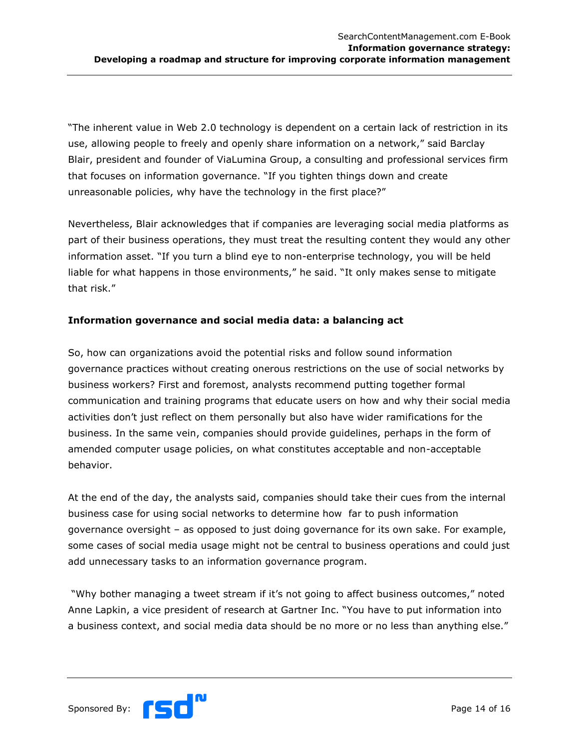"The inherent value in Web 2.0 technology is dependent on a certain lack of restriction in its use, allowing people to freely and openly share information on a network," said Barclay Blair, president and founder of ViaLumina Group, a consulting and professional services firm that focuses on information governance. "If you tighten things down and create unreasonable policies, why have the technology in the first place?"

Nevertheless, Blair acknowledges that if companies are leveraging social media platforms as part of their business operations, they must treat the resulting content they would any other information asset. "If you turn a blind eye to non-enterprise technology, you will be held liable for what happens in those environments," he said. "It only makes sense to mitigate that risk."

#### **Information governance and social media data: a balancing act**

So, how can organizations avoid the potential risks and follow sound information governance practices without creating onerous restrictions on the use of social networks by business workers? First and foremost, analysts recommend putting together formal communication and training programs that educate users on how and why their social media activities don"t just reflect on them personally but also have wider ramifications for the business. In the same vein, companies should provide guidelines, perhaps in the form of amended computer usage policies, on what constitutes acceptable and non-acceptable behavior.

At the end of the day, the analysts said, companies should take their cues from the internal business case for using social networks to determine how far to push information governance oversight – as opposed to just doing governance for its own sake. For example, some cases of social media usage might not be central to business operations and could just add unnecessary tasks to an information governance program.

"Why bother managing a tweet stream if it"s not going to affect business outcomes," noted Anne Lapkin, a vice president of research at Gartner Inc. "You have to put information into a business context, and social media data should be no more or no less than anything else."

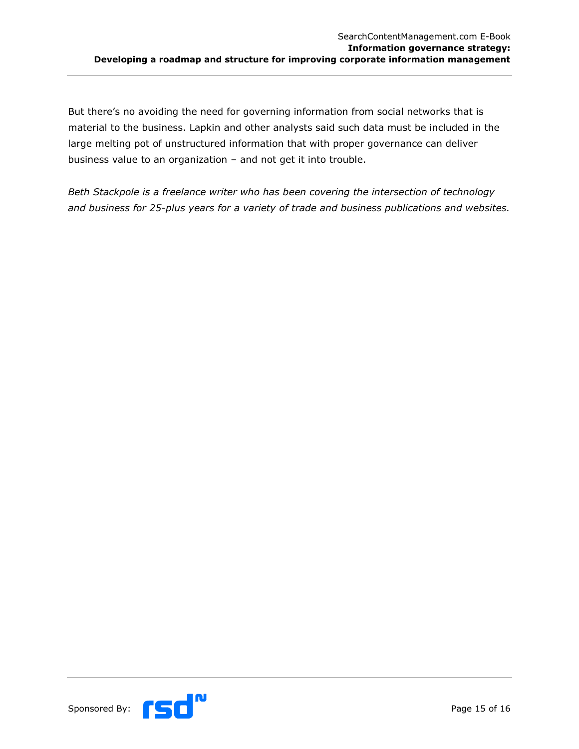But there's no avoiding the need for governing information from social networks that is material to the business. Lapkin and other analysts said such data must be included in the large melting pot of unstructured information that with proper governance can deliver business value to an organization – and not get it into trouble.

*Beth Stackpole is a freelance writer who has been covering the intersection of technology and business for 25-plus years for a variety of trade and business publications and websites.*